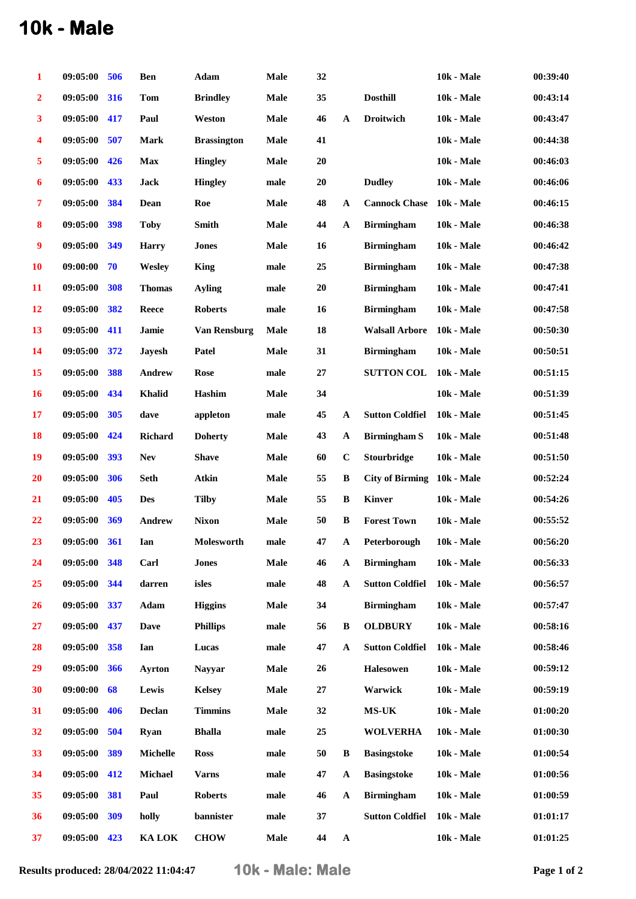## **10k - Male**

| 1                       | 09:05:00 | 506        | <b>Ben</b>     | Adam                | <b>Male</b> | 32       |              |                        | <b>10k - Male</b> | 00:39:40 |
|-------------------------|----------|------------|----------------|---------------------|-------------|----------|--------------|------------------------|-------------------|----------|
| $\overline{\mathbf{2}}$ | 09:05:00 | 316        | <b>Tom</b>     | <b>Brindley</b>     | <b>Male</b> | 35       |              | <b>Dosthill</b>        | 10k - Male        | 00:43:14 |
| $\overline{\mathbf{3}}$ | 09:05:00 | 417        | Paul           | Weston              | Male        | 46       | $\mathbf{A}$ | <b>Droitwich</b>       | <b>10k - Male</b> | 00:43:47 |
| 4                       | 09:05:00 | 507        | <b>Mark</b>    | <b>Brassington</b>  | <b>Male</b> | 41       |              |                        | <b>10k - Male</b> | 00:44:38 |
| $\overline{\mathbf{5}}$ | 09:05:00 | 426        | Max            | <b>Hingley</b>      | Male        | 20       |              |                        | 10k - Male        | 00:46:03 |
| $\boldsymbol{6}$        | 09:05:00 | 433        | <b>Jack</b>    | <b>Hingley</b>      | male        | 20       |              | <b>Dudley</b>          | <b>10k - Male</b> | 00:46:06 |
| $\overline{7}$          | 09:05:00 | 384        | Dean           | Roe                 | <b>Male</b> | 48       | $\mathbf A$  | <b>Cannock Chase</b>   | <b>10k - Male</b> | 00:46:15 |
| $\bf{8}$                | 09:05:00 | 398        | <b>Toby</b>    | <b>Smith</b>        | Male        | 44       | $\mathbf A$  | <b>Birmingham</b>      | 10k - Male        | 00:46:38 |
| $\boldsymbol{9}$        | 09:05:00 | 349        | <b>Harry</b>   | <b>Jones</b>        | <b>Male</b> | 16       |              | <b>Birmingham</b>      | <b>10k - Male</b> | 00:46:42 |
| <b>10</b>               | 09:00:00 | 70         | Wesley         | <b>King</b>         | male        | 25       |              | <b>Birmingham</b>      | <b>10k - Male</b> | 00:47:38 |
| 11                      | 09:05:00 | 308        | <b>Thomas</b>  | Avling              | male        | $20\,$   |              | <b>Birmingham</b>      | <b>10k - Male</b> | 00:47:41 |
| 12                      | 09:05:00 | 382        | Reece          | <b>Roberts</b>      | male        | 16       |              | <b>Birmingham</b>      | <b>10k - Male</b> | 00:47:58 |
| 13                      | 09:05:00 | 411        | Jamie          | <b>Van Rensburg</b> | <b>Male</b> | 18       |              | <b>Walsall Arbore</b>  | <b>10k - Male</b> | 00:50:30 |
| 14                      | 09:05:00 | 372        | <b>Jayesh</b>  | Patel               | <b>Male</b> | 31       |              | <b>Birmingham</b>      | <b>10k - Male</b> | 00:50:51 |
| 15                      | 09:05:00 | 388        | Andrew         | <b>Rose</b>         | male        | $\bf 27$ |              | <b>SUTTON COL</b>      | <b>10k - Male</b> | 00:51:15 |
| <b>16</b>               | 09:05:00 | 434        | <b>Khalid</b>  | Hashim              | <b>Male</b> | 34       |              |                        | <b>10k - Male</b> | 00:51:39 |
| 17                      | 09:05:00 | 305        | dave           | appleton            | male        | 45       | A            | <b>Sutton Coldfiel</b> | <b>10k - Male</b> | 00:51:45 |
| 18                      | 09:05:00 | 424        | <b>Richard</b> | <b>Doherty</b>      | <b>Male</b> | 43       | $\mathbf{A}$ | <b>Birmingham S</b>    | <b>10k - Male</b> | 00:51:48 |
| 19                      | 09:05:00 | 393        | <b>Nev</b>     | <b>Shave</b>        | <b>Male</b> | 60       | $\bf C$      | <b>Stourbridge</b>     | <b>10k - Male</b> | 00:51:50 |
| 20                      | 09:05:00 | 306        | <b>Seth</b>    | Atkin               | <b>Male</b> | 55       | $\, {\bf B}$ | <b>City of Birming</b> | <b>10k - Male</b> | 00:52:24 |
| 21                      | 09:05:00 | 405        | <b>Des</b>     | <b>Tilby</b>        | <b>Male</b> | 55       | $\, {\bf B}$ | <b>Kinver</b>          | <b>10k - Male</b> | 00:54:26 |
| 22                      | 09:05:00 | 369        | Andrew         | <b>Nixon</b>        | <b>Male</b> | 50       | B            | <b>Forest Town</b>     | 10k - Male        | 00:55:52 |
| 23                      | 09:05:00 | <b>361</b> | Ian            | Molesworth          | male        | 47       | $\mathbf{A}$ | Peterborough           | 10k - Male        | 00:56:20 |
| 24                      | 09:05:00 | 348        | Carl           | <b>Jones</b>        | Male        | 46       | $\mathbf A$  | <b>Birmingham</b>      | <b>10k - Male</b> | 00:56:33 |
| 25                      | 09:05:00 | 344        | darren         | isles               | male        | 48       | $\mathbf A$  | <b>Sutton Coldfiel</b> | 10k - Male        | 00:56:57 |
| 26                      | 09:05:00 | 337        | Adam           | <b>Higgins</b>      | <b>Male</b> | 34       |              | <b>Birmingham</b>      | <b>10k - Male</b> | 00:57:47 |
| 27                      | 09:05:00 | 437        | <b>Dave</b>    | <b>Phillips</b>     | male        | 56       | $\, {\bf B}$ | <b>OLDBURY</b>         | <b>10k - Male</b> | 00:58:16 |
| 28                      | 09:05:00 | 358        | Ian            | Lucas               | male        | 47       | $\mathbf A$  | <b>Sutton Coldfiel</b> | <b>10k - Male</b> | 00:58:46 |
| 29                      | 09:05:00 | 366        | <b>Avrton</b>  | <b>Navvar</b>       | Male        | 26       |              | <b>Halesowen</b>       | <b>10k - Male</b> | 00:59:12 |
| 30                      | 09:00:00 | 68         | Lewis          | <b>Kelsey</b>       | Male        | $27\,$   |              | Warwick                | <b>10k - Male</b> | 00:59:19 |
| 31                      | 09:05:00 | 406        | Declan         | <b>Timmins</b>      | <b>Male</b> | 32       |              | $MS-UK$                | <b>10k - Male</b> | 01:00:20 |
| 32                      | 09:05:00 | 504        | <b>Ryan</b>    | <b>Bhalla</b>       | male        | 25       |              | <b>WOLVERHA</b>        | <b>10k - Male</b> | 01:00:30 |
| 33                      | 09:05:00 | 389        | Michelle       | <b>Ross</b>         | male        | 50       | B            | <b>Basingstoke</b>     | <b>10k - Male</b> | 01:00:54 |
| 34                      | 09:05:00 | 412        | <b>Michael</b> | <b>Varns</b>        | male        | 47       | $\mathbf A$  | <b>Basingstoke</b>     | <b>10k - Male</b> | 01:00:56 |
| 35                      | 09:05:00 | 381        | Paul           | <b>Roberts</b>      | male        | 46       | $\mathbf A$  | <b>Birmingham</b>      | <b>10k - Male</b> | 01:00:59 |
| 36                      | 09:05:00 | 309        | holly          | bannister           | male        | 37       |              | <b>Sutton Coldfiel</b> | <b>10k - Male</b> | 01:01:17 |
| 37                      | 09:05:00 | 423        | <b>KA LOK</b>  | <b>CHOW</b>         | Male        | 44       | ${\bf A}$    |                        | <b>10k - Male</b> | 01:01:25 |